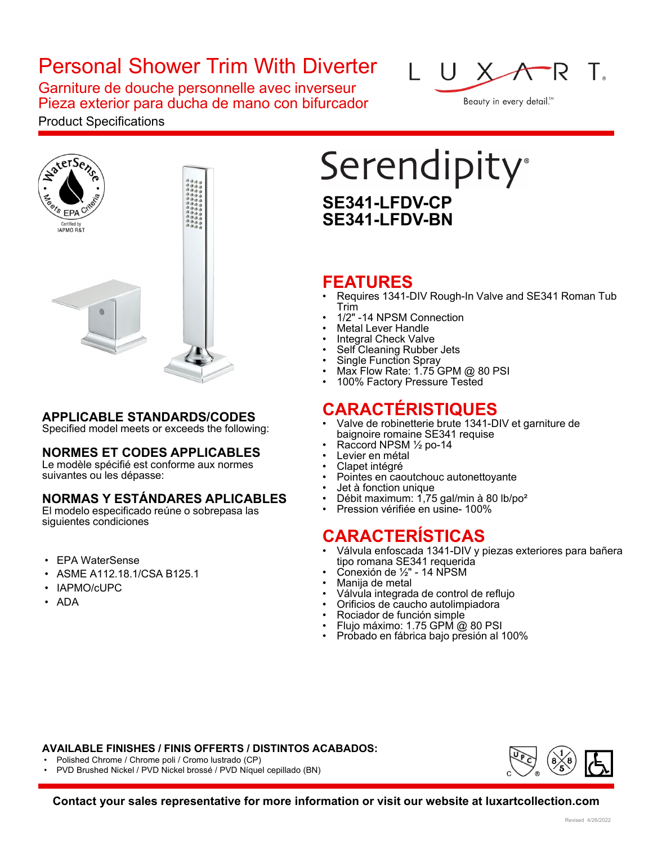## Personal Shower Trim With Diverter

Garniture de douche personnelle avec inverseur Pieza exterior para ducha de mano con bifurcador

### Product Specifications

 $\leftarrow$ R T.

Beauty in every detail."



### **APPLICABLE STANDARDS/CODES**

Specified model meets or exceeds the following:

#### **NORMES ET CODES APPLICABLES**

Le modèle spécifié est conforme aux normes suivantes ou les dépasse:

### **NORMAS Y ESTÁNDARES APLICABLES**

El modelo especificado reúne o sobrepasa las siguientes condiciones

- EPA WaterSense
- ASME A112.18.1/CSA B125.1
- IAPMO/cUPC
- ADA

# Serendipity<sup>®</sup> **SE341-LFDV-CP SE341-LFDV-BN**

### **FEATURES**

- Requires 1341-DIV Rough-In Valve and SE341 Roman Tub Trim
- 1/2" -14 NPSM Connection<br>Metal Lever Handle
- 
- **Integral Check Valve**
- Self Cleaning Rubber Jets
- 
- Single Function Spray<br>
Max Flow Rate: 1.75 GPM @ 80 PSI<br>
100% Factory Pressure Tested
- 

### **CARACTÉRISTIQUES**

- Valve de robinetterie brute 1341-DIV et garniture de baignoire romaine SE341 requise
- Raccord NPSM 1/2 po-14<br>Levier en métal
- 
- Clapet intégré
- Pointes en caoutchouc autonettoyante<br>Jet à fonction unique
- 
- Débit maximum: 1,75 gal/min à 80 lb/po²
- Pression vérifiée en usine- 100%

### **CARACTERÍSTICAS**

- Válvula enfoscada 1341-DIV y piezas exteriores para bañera tipo romana SE341 requerida • Conexión de ½" - 14 NPSM
- 
- 
- Manija de metal<br>Válvula integrada de control de reflujo
- Orificios de caucho autolimpiadora
- 
- Rociador de función simple<br>Flujo máximo: 1.75 GPM @ 80 PSI
- Probado en fábrica bajo presión al 100%

#### **AVAILABLE FINISHES / FINIS OFFERTS / DISTINTOS ACABADOS:**

- Polished Chrome / Chrome poli / Cromo lustrado (CP)
- PVD Brushed Nickel / PVD Nickel brossé / PVD Níquel cepillado (BN)



**Contact your sales representative for more information or visit our website at luxartcollection.com**